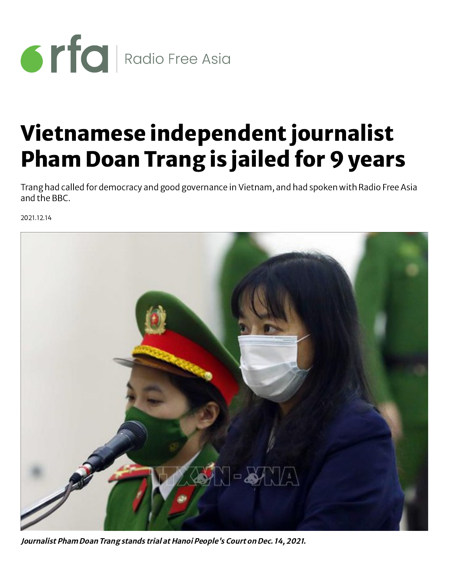

## Vietnamese independent journalist Pham Doan Trang is jailed for 9 years

Trang had called for democracy and good governance in Vietnam, and had spoken with Radio Free Asia and the BBC.

2021.12.14



Journalist Pham Doan Trang stands trial at Hanoi People's Court on Dec. 14, 2021.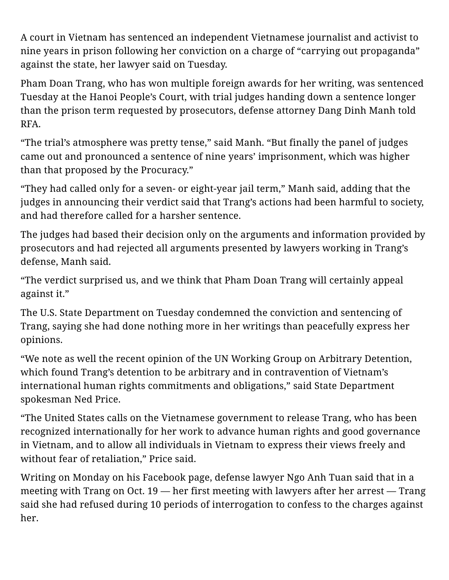A court in Vietnam has sentenced an independent Vietnamese journalist and activist to nine years in prison following her conviction on a charge of "carrying out propaganda" against the state, her lawyer said on Tuesday.

Pham Doan Trang, who has won multiple foreign awards for her writing, was sentenced Tuesday at the Hanoi People's Court, with trial judges handing down a sentence longer than the prison term requested by prosecutors, defense attorney Dang Dinh Manh told RFA.

"The trial's atmosphere was pretty tense," said Manh. "But finally the panel of judges came out and pronounced a sentence of nine years' imprisonment, which was higher than that proposed by the Procuracy."

"They had called only for a seven- or eight-year jail term," Manh said, adding that the judges in announcing their verdict said that Trang's actions had been harmful to society, and had therefore called for a harsher sentence.

The judges had based their decision only on the arguments and information provided by prosecutors and had rejected all arguments presented by lawyers working in Trang's defense, Manh said.

"The verdict surprised us, and we think that Pham Doan Trang will certainly appeal against it."

The U.S. State Department on Tuesday condemned the conviction and sentencing of Trang, saying she had done nothing more in her writings than peacefully express her opinions.

"We note as well the recent opinion of the UN Working Group on Arbitrary Detention, which found Trang's detention to be arbitrary and in contravention of Vietnam's international human rights commitments and obligations," said State Department spokesman Ned Price.

"The United States calls on the Vietnamese government to release Trang, who has been recognized internationally for her work to advance human rights and good governance in Vietnam, and to allow all individuals in Vietnam to express their views freely and without fear of retaliation," Price said.

Writing on Monday on his Facebook page, defense lawyer Ngo Anh Tuan said that in a meeting with Trang on Oct. 19 — her first meeting with lawyers after her arrest — Trang said she had refused during 10 periods of interrogation to confess to the charges against her.